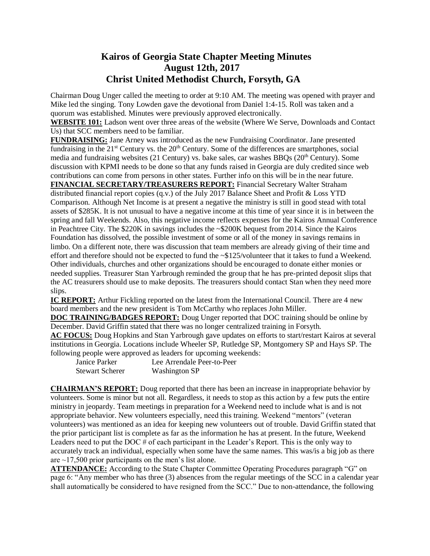## **Kairos of Georgia State Chapter Meeting Minutes August 12th, 2017 Christ United Methodist Church, Forsyth, GA**

Chairman Doug Unger called the meeting to order at 9:10 AM. The meeting was opened with prayer and Mike led the singing. Tony Lowden gave the devotional from Daniel 1:4-15. Roll was taken and a quorum was established. Minutes were previously approved electronically.

**WEBSITE 101:** Ladson went over three areas of the website (Where We Serve, Downloads and Contact Us) that SCC members need to be familiar.

**FUNDRAISING:** Jane Arney was introduced as the new Fundraising Coordinator. Jane presented fundraising in the  $21<sup>st</sup>$  Century vs. the  $20<sup>th</sup>$  Century. Some of the differences are smartphones, social media and fundraising websites (21 Century) vs. bake sales, car washes BBOs ( $20<sup>th</sup>$  Century). Some discussion with KPMI needs to be done so that any funds raised in Georgia are duly credited since web contributions can come from persons in other states. Further info on this will be in the near future. **FINANCIAL SECRETARY/TREASURERS REPORT:** Financial Secretary Walter Straham

distributed financial report copies (q.v.) of the July 2017 Balance Sheet and Profit & Loss YTD Comparison. Although Net Income is at present a negative the ministry is still in good stead with total assets of \$285K. It is not unusual to have a negative income at this time of year since it is in between the spring and fall Weekends. Also, this negative income reflects expenses for the Kairos Annual Conference in Peachtree City. The \$220K in savings includes the ~\$200K bequest from 2014. Since the Kairos Foundation has dissolved, the possible investment of some or all of the money in savings remains in limbo. On a different note, there was discussion that team members are already giving of their time and effort and therefore should not be expected to fund the ~\$125/volunteer that it takes to fund a Weekend. Other individuals, churches and other organizations should be encouraged to donate either monies or needed supplies. Treasurer Stan Yarbrough reminded the group that he has pre-printed deposit slips that the AC treasurers should use to make deposits. The treasurers should contact Stan when they need more slips.

**IC REPORT:** Arthur Fickling reported on the latest from the International Council. There are 4 new board members and the new president is Tom McCarthy who replaces John Miller.

**DOC TRAINING/BADGES REPORT:** Doug Unger reported that DOC training should be online by December. David Griffin stated that there was no longer centralized training in Forsyth.

**AC FOCUS:** Doug Hopkins and Stan Yarbrough gave updates on efforts to start/restart Kairos at several institutions in Georgia. Locations include Wheeler SP, Rutledge SP, Montgomery SP and Hays SP. The following people were approved as leaders for upcoming weekends:

| $\sim$ $\sim$<br>.     |                            |
|------------------------|----------------------------|
| Janice Parker          | Lee Arrendale Peer-to-Peer |
| <b>Stewart Scherer</b> | <b>Washington SP</b>       |

**CHAIRMAN'S REPORT:** Doug reported that there has been an increase in inappropriate behavior by volunteers. Some is minor but not all. Regardless, it needs to stop as this action by a few puts the entire ministry in jeopardy. Team meetings in preparation for a Weekend need to include what is and is not appropriate behavior. New volunteers especially, need this training. Weekend "mentors" (veteran volunteers) was mentioned as an idea for keeping new volunteers out of trouble. David Griffin stated that the prior participant list is complete as far as the information he has at present. In the future, Weekend Leaders need to put the DOC # of each participant in the Leader's Report. This is the only way to accurately track an individual, especially when some have the same names. This was/is a big job as there are ~17,500 prior participants on the men's list alone.

**ATTENDANCE:** According to the State Chapter Committee Operating Procedures paragraph "G" on page 6: "Any member who has three (3) absences from the regular meetings of the SCC in a calendar year shall automatically be considered to have resigned from the SCC." Due to non-attendance, the following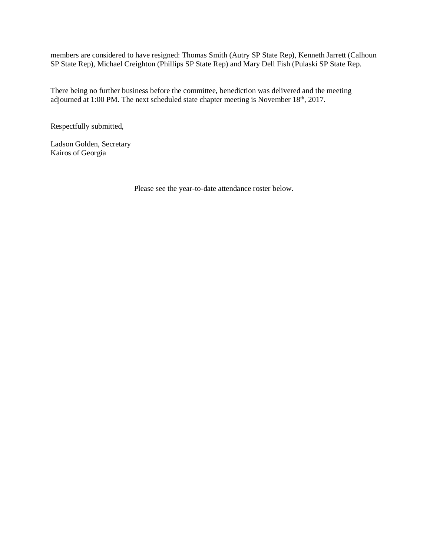members are considered to have resigned: Thomas Smith (Autry SP State Rep), Kenneth Jarrett (Calhoun SP State Rep), Michael Creighton (Phillips SP State Rep) and Mary Dell Fish (Pulaski SP State Rep.

There being no further business before the committee, benediction was delivered and the meeting adjourned at 1:00 PM. The next scheduled state chapter meeting is November 18<sup>th</sup>, 2017.

Respectfully submitted,

Ladson Golden, Secretary Kairos of Georgia

Please see the year-to-date attendance roster below.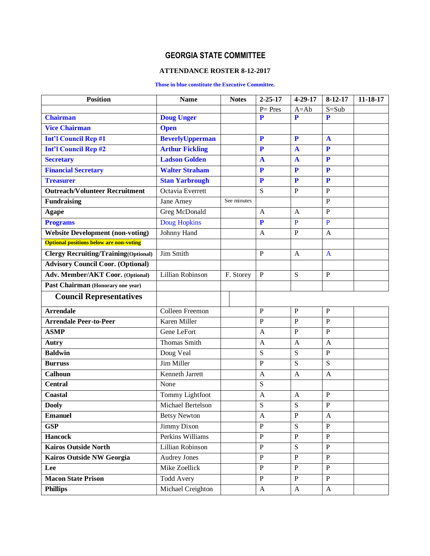## **GEORGIA STATE COMMITTEE**

## **ATTENDANCE ROSTER 8-12-2017**

## **Those in blue constitute the Executive Committee.**

| <b>Position</b>                                | <b>Name</b>            | <b>Notes</b> | $2 - 25 - 17$             | 4-29-17                   | $8-12-17$        | 11-18-17 |
|------------------------------------------------|------------------------|--------------|---------------------------|---------------------------|------------------|----------|
|                                                |                        |              | $P = Pres$                | $A = Ab$                  | $S = Sub$        |          |
| <b>Chairman</b>                                | <b>Doug Unger</b>      |              | P                         | P                         | P                |          |
| <b>Vice Chairman</b>                           | <b>Open</b>            |              |                           |                           |                  |          |
| <b>Int'l Council Rep #1</b>                    | <b>BeverlyUpperman</b> |              | P                         | $\mathbf{P}$              | $\mathbf{A}$     |          |
| <b>Int'l Council Rep #2</b>                    | <b>Arthur Fickling</b> |              | P                         | $\mathbf{A}$              | P                |          |
| <b>Secretary</b>                               | <b>Ladson Golden</b>   |              | $\mathbf{A}$              | $\mathbf{A}$              | $\mathbf{P}$     |          |
| <b>Financial Secretary</b>                     | <b>Walter Straham</b>  |              | $\mathbf{P}$              | P                         | $\mathbf{P}$     |          |
| <b>Treasurer</b>                               | <b>Stan Yarbrough</b>  |              | $\mathbf{P}$              | $\mathbf{P}$              | $\mathbf{P}$     |          |
| <b>Outreach/Volunteer Recruitment</b>          | Octavia Everrett       |              | S                         | $\overline{P}$            | $\overline{P}$   |          |
| <b>Fundraising</b>                             | Jane Arney             | See minutes  |                           |                           | $\mathbf{P}$     |          |
| <b>Agape</b>                                   | Greg McDonald          |              | A                         | $\mathbf{A}$              | $\overline{P}$   |          |
| <b>Programs</b>                                | Doug Hopkins           |              | $\mathbf{P}$              | $\mathbf{P}$              | $\mathbf{P}$     |          |
| <b>Website Development (non-voting)</b>        | Johnny Hand            |              | A                         | $\mathbf{P}$              | $\mathbf{A}$     |          |
| <b>Optional positions below are non-voting</b> |                        |              |                           |                           |                  |          |
| <b>Clergy Recruiting/Training(Optional)</b>    | Jim Smith              |              | $\mathbf{P}$              | $\mathbf{A}$              | $\mathbf{A}$     |          |
| <b>Advisory Council Coor. (Optional)</b>       |                        |              |                           |                           |                  |          |
| Adv. Member/AKT Coor. (Optional)               | Lillian Robinson       | F. Storey    | $\mathbf{P}$              | S                         | $\mathbf{P}$     |          |
| Past Chairman (Honorary one year)              |                        |              |                           |                           |                  |          |
| <b>Council Representatives</b>                 |                        |              |                           |                           |                  |          |
| <b>Arrendale</b>                               | Colleen Freemon        |              | $\mathbf{P}$              | $\mathbf{P}$              | $\mathbf{P}$     |          |
| <b>Arrendale Peer-to-Peer</b>                  | Karen Miller           |              | $\overline{P}$            | $\overline{P}$            | $\mathbf{P}$     |          |
| <b>ASMP</b>                                    | Gene LeFort            |              | $\mathbf{A}$              | $\mathbf{P}$              | $\mathbf{P}$     |          |
| Autry                                          | <b>Thomas Smith</b>    |              | A                         | $\mathbf{A}$              | $\overline{A}$   |          |
| <b>Baldwin</b>                                 | Doug Veal              |              | ${\bf S}$                 | S                         | $\, {\bf P}$     |          |
| <b>Burruss</b>                                 | Jim Miller             |              | $\mathbf{P}$              | S                         | S                |          |
| <b>Calhoun</b>                                 | <b>Kenneth Jarrett</b> |              | A                         | A                         | $\overline{A}$   |          |
| <b>Central</b>                                 | None                   |              | S                         |                           |                  |          |
| Coastal                                        | Tommy Lightfoot        |              | A                         | A                         | $\mathbf P$      |          |
| <b>Dooly</b>                                   | Michael Bertelson      |              | S                         | S                         | $\overline{P}$   |          |
| <b>Emanuel</b>                                 | <b>Betsy Newton</b>    |              | A                         | $\, {\bf P}$              | $\mathbf{A}$     |          |
| <b>GSP</b>                                     | Jimmy Dixon            |              | $\overline{P}$            | $\overline{S}$            | $\mathbf{P}$     |          |
| <b>Hancock</b>                                 | Perkins Williams       |              | $\overline{P}$            | $\overline{P}$            | $\, {\bf P}$     |          |
| <b>Kairos Outside North</b>                    | Lillian Robinson       |              | $\overline{P}$            | $\overline{S}$            | $\overline{P}$   |          |
| Kairos Outside NW Georgia                      | <b>Audrey Jones</b>    |              | $\, {\bf P}$              | $\, {\bf P}$              | $\, {\bf P}$     |          |
| Lee                                            | Mike Zoellick          |              | $\overline{P}$            | $\mathbf{P}$              | $\mathbf{P}$     |          |
| <b>Macon State Prison</b>                      | <b>Todd Avery</b>      |              | $\, {\bf P}$              | $\, {\bf P}$              | $\mathbf{P}$     |          |
| <b>Phillips</b>                                | Michael Creighton      |              | $\boldsymbol{\mathsf{A}}$ | $\boldsymbol{\mathsf{A}}$ | $\boldsymbol{A}$ |          |